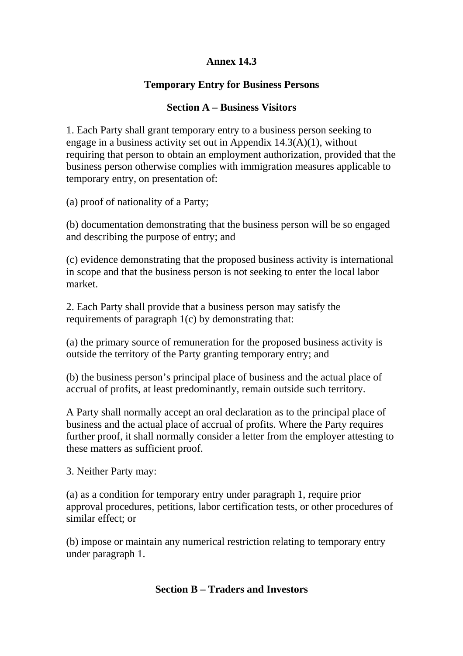## **Annex 14.3**

## **Temporary Entry for Business Persons**

### **Section A – Business Visitors**

1. Each Party shall grant temporary entry to a business person seeking to engage in a business activity set out in Appendix 14.3(A)(1), without requiring that person to obtain an employment authorization, provided that the business person otherwise complies with immigration measures applicable to temporary entry, on presentation of:

(a) proof of nationality of a Party;

(b) documentation demonstrating that the business person will be so engaged and describing the purpose of entry; and

(c) evidence demonstrating that the proposed business activity is international in scope and that the business person is not seeking to enter the local labor market.

2. Each Party shall provide that a business person may satisfy the requirements of paragraph 1(c) by demonstrating that:

(a) the primary source of remuneration for the proposed business activity is outside the territory of the Party granting temporary entry; and

(b) the business person's principal place of business and the actual place of accrual of profits, at least predominantly, remain outside such territory.

A Party shall normally accept an oral declaration as to the principal place of business and the actual place of accrual of profits. Where the Party requires further proof, it shall normally consider a letter from the employer attesting to these matters as sufficient proof.

3. Neither Party may:

(a) as a condition for temporary entry under paragraph 1, require prior approval procedures, petitions, labor certification tests, or other procedures of similar effect; or

(b) impose or maintain any numerical restriction relating to temporary entry under paragraph 1.

#### **Section B – Traders and Investors**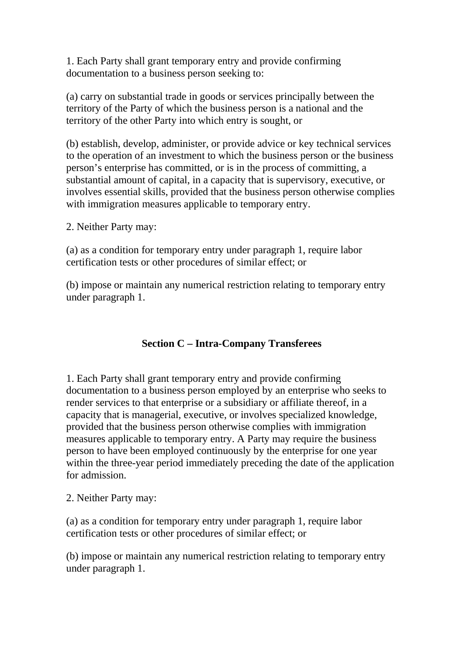1. Each Party shall grant temporary entry and provide confirming documentation to a business person seeking to:

(a) carry on substantial trade in goods or services principally between the territory of the Party of which the business person is a national and the territory of the other Party into which entry is sought, or

(b) establish, develop, administer, or provide advice or key technical services to the operation of an investment to which the business person or the business person's enterprise has committed, or is in the process of committing, a substantial amount of capital, in a capacity that is supervisory, executive, or involves essential skills, provided that the business person otherwise complies with immigration measures applicable to temporary entry.

2. Neither Party may:

(a) as a condition for temporary entry under paragraph 1, require labor certification tests or other procedures of similar effect; or

(b) impose or maintain any numerical restriction relating to temporary entry under paragraph 1.

# **Section C – Intra-Company Transferees**

1. Each Party shall grant temporary entry and provide confirming documentation to a business person employed by an enterprise who seeks to render services to that enterprise or a subsidiary or affiliate thereof, in a capacity that is managerial, executive, or involves specialized knowledge, provided that the business person otherwise complies with immigration measures applicable to temporary entry. A Party may require the business person to have been employed continuously by the enterprise for one year within the three-year period immediately preceding the date of the application for admission.

2. Neither Party may:

(a) as a condition for temporary entry under paragraph 1, require labor certification tests or other procedures of similar effect; or

(b) impose or maintain any numerical restriction relating to temporary entry under paragraph 1.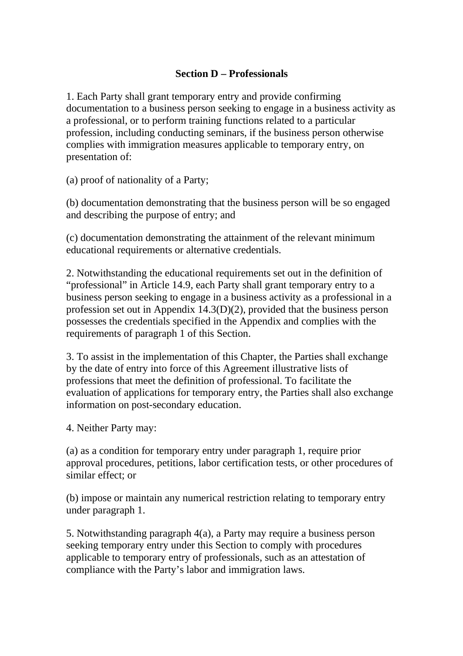#### **Section D – Professionals**

1. Each Party shall grant temporary entry and provide confirming documentation to a business person seeking to engage in a business activity as a professional, or to perform training functions related to a particular profession, including conducting seminars, if the business person otherwise complies with immigration measures applicable to temporary entry, on presentation of:

(a) proof of nationality of a Party;

(b) documentation demonstrating that the business person will be so engaged and describing the purpose of entry; and

(c) documentation demonstrating the attainment of the relevant minimum educational requirements or alternative credentials.

2. Notwithstanding the educational requirements set out in the definition of "professional" in Article 14.9, each Party shall grant temporary entry to a business person seeking to engage in a business activity as a professional in a profession set out in Appendix 14.3(D)(2), provided that the business person possesses the credentials specified in the Appendix and complies with the requirements of paragraph 1 of this Section.

3. To assist in the implementation of this Chapter, the Parties shall exchange by the date of entry into force of this Agreement illustrative lists of professions that meet the definition of professional. To facilitate the evaluation of applications for temporary entry, the Parties shall also exchange information on post-secondary education.

4. Neither Party may:

(a) as a condition for temporary entry under paragraph 1, require prior approval procedures, petitions, labor certification tests, or other procedures of similar effect: or

(b) impose or maintain any numerical restriction relating to temporary entry under paragraph 1.

5. Notwithstanding paragraph 4(a), a Party may require a business person seeking temporary entry under this Section to comply with procedures applicable to temporary entry of professionals, such as an attestation of compliance with the Party's labor and immigration laws.